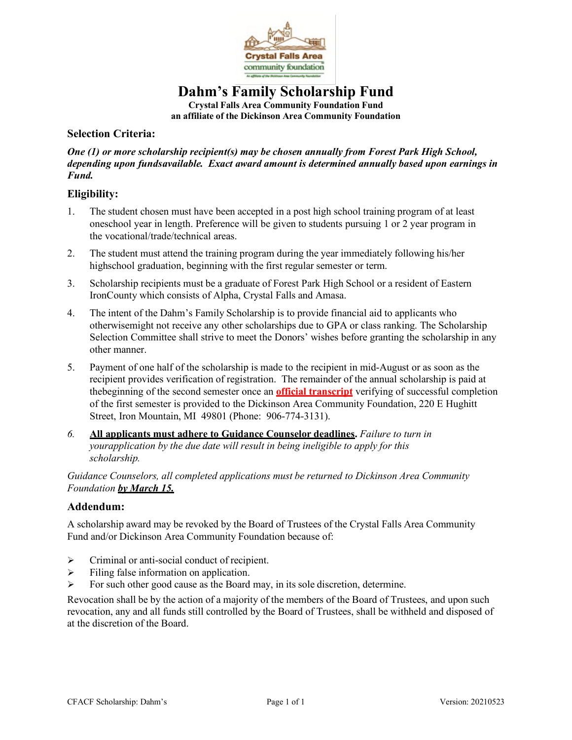

## **Dahm's Family Scholarship Fund**

**Crystal Falls Area Community Foundation Fund an affiliate of the Dickinson Area Community Foundation**

#### **Selection Criteria:**

*One (1) or more scholarship recipient(s) may be chosen annually from Forest Park High School, depending upon fundsavailable. Exact award amount is determined annually based upon earnings in Fund.*

#### **Eligibility:**

- 1. The student chosen must have been accepted in a post high school training program of at least oneschool year in length. Preference will be given to students pursuing 1 or 2 year program in the vocational/trade/technical areas.
- 2. The student must attend the training program during the year immediately following his/her highschool graduation, beginning with the first regular semester or term.
- 3. Scholarship recipients must be a graduate of Forest Park High School or a resident of Eastern IronCounty which consists of Alpha, Crystal Falls and Amasa.
- 4. The intent of the Dahm's Family Scholarship is to provide financial aid to applicants who otherwisemight not receive any other scholarships due to GPA or class ranking. The Scholarship Selection Committee shall strive to meet the Donors' wishes before granting the scholarship in any other manner.
- 5. Payment of one half of the scholarship is made to the recipient in mid-August or as soon as the recipient provides verification of registration. The remainder of the annual scholarship is paid at thebeginning of the second semester once an **official transcript** verifying of successful completion of the first semester is provided to the Dickinson Area Community Foundation, 220 E Hughitt Street, Iron Mountain, MI 49801 (Phone: 906-774-3131).
- *6.* **All applicants must adhere to Guidance Counselor deadlines.** *Failure to turn in yourapplication by the due date will result in being ineligible to apply for this scholarship.*

*Guidance Counselors, all completed applications must be returned to Dickinson Area Community Foundation by March 15.*

#### **Addendum:**

A scholarship award may be revoked by the Board of Trustees of the Crystal Falls Area Community Fund and/or Dickinson Area Community Foundation because of:

- > Criminal or anti-social conduct of recipient.
- $\triangleright$  Filing false information on application.
- $\triangleright$  For such other good cause as the Board may, in its sole discretion, determine.

Revocation shall be by the action of a majority of the members of the Board of Trustees, and upon such revocation, any and all funds still controlled by the Board of Trustees, shall be withheld and disposed of at the discretion of the Board.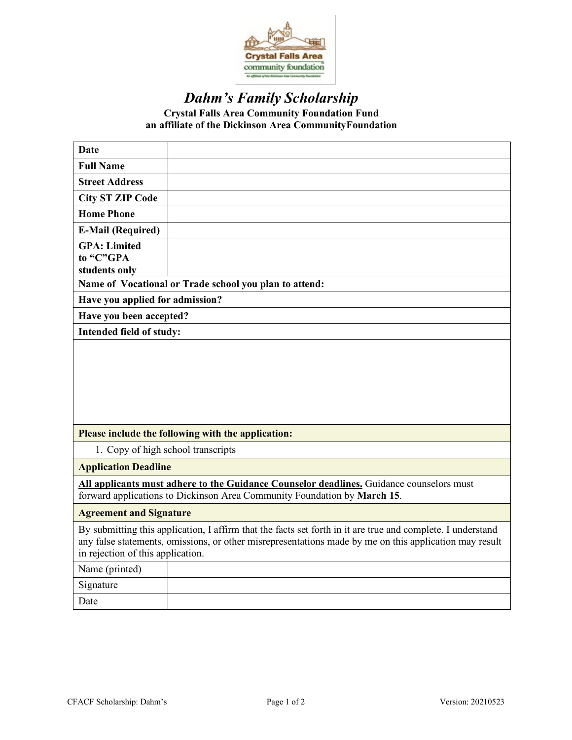

# *Dahm's Family Scholarship*

**Crystal Falls Area Community Foundation Fund an affiliate of the Dickinson Area CommunityFoundation**

| Date                                                                                                                                                                                                                                                       |                                                    |  |  |  |  |  |
|------------------------------------------------------------------------------------------------------------------------------------------------------------------------------------------------------------------------------------------------------------|----------------------------------------------------|--|--|--|--|--|
| <b>Full Name</b>                                                                                                                                                                                                                                           |                                                    |  |  |  |  |  |
| <b>Street Address</b>                                                                                                                                                                                                                                      |                                                    |  |  |  |  |  |
| <b>City ST ZIP Code</b>                                                                                                                                                                                                                                    |                                                    |  |  |  |  |  |
| <b>Home Phone</b>                                                                                                                                                                                                                                          |                                                    |  |  |  |  |  |
| <b>E-Mail (Required)</b>                                                                                                                                                                                                                                   |                                                    |  |  |  |  |  |
| <b>GPA: Limited</b>                                                                                                                                                                                                                                        |                                                    |  |  |  |  |  |
| to "C"GPA                                                                                                                                                                                                                                                  |                                                    |  |  |  |  |  |
| students only                                                                                                                                                                                                                                              |                                                    |  |  |  |  |  |
| Name of Vocational or Trade school you plan to attend:                                                                                                                                                                                                     |                                                    |  |  |  |  |  |
| Have you applied for admission?                                                                                                                                                                                                                            |                                                    |  |  |  |  |  |
| Have you been accepted?                                                                                                                                                                                                                                    |                                                    |  |  |  |  |  |
| Intended field of study:                                                                                                                                                                                                                                   |                                                    |  |  |  |  |  |
|                                                                                                                                                                                                                                                            |                                                    |  |  |  |  |  |
|                                                                                                                                                                                                                                                            | Please include the following with the application: |  |  |  |  |  |
| 1. Copy of high school transcripts                                                                                                                                                                                                                         |                                                    |  |  |  |  |  |
| <b>Application Deadline</b>                                                                                                                                                                                                                                |                                                    |  |  |  |  |  |
| All applicants must adhere to the Guidance Counselor deadlines. Guidance counselors must<br>forward applications to Dickinson Area Community Foundation by March 15.                                                                                       |                                                    |  |  |  |  |  |
| <b>Agreement and Signature</b>                                                                                                                                                                                                                             |                                                    |  |  |  |  |  |
| By submitting this application, I affirm that the facts set forth in it are true and complete. I understand<br>any false statements, omissions, or other misrepresentations made by me on this application may result<br>in rejection of this application. |                                                    |  |  |  |  |  |
| Name (printed)                                                                                                                                                                                                                                             |                                                    |  |  |  |  |  |
| Signature                                                                                                                                                                                                                                                  |                                                    |  |  |  |  |  |
| Date                                                                                                                                                                                                                                                       |                                                    |  |  |  |  |  |